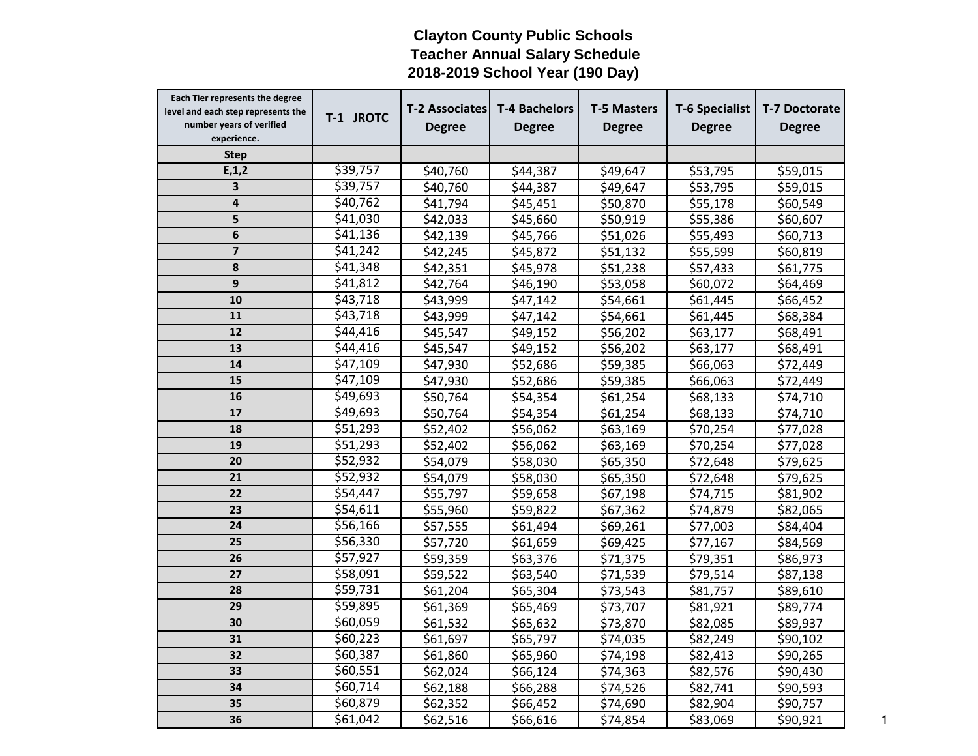## **Clayton County Public Schools Teacher Annual Salary Schedule 2018-2019 School Year (190 Day)**

| Each Tier represents the degree<br>level and each step represents the<br>number years of verified<br>experience. | T-1 JROTC | <b>T-2 Associates</b><br><b>Degree</b> | <b>T-4 Bachelors</b><br><b>Degree</b> | <b>T-5 Masters</b><br><b>Degree</b> | <b>T-6 Specialist</b><br><b>Degree</b> | <b>T-7 Doctorate</b><br><b>Degree</b> |
|------------------------------------------------------------------------------------------------------------------|-----------|----------------------------------------|---------------------------------------|-------------------------------------|----------------------------------------|---------------------------------------|
| <b>Step</b>                                                                                                      |           |                                        |                                       |                                     |                                        |                                       |
| E, 1, 2                                                                                                          | \$39,757  | \$40,760                               | \$44,387                              | \$49,647                            | \$53,795                               | \$59,015                              |
| 3                                                                                                                | \$39,757  | \$40,760                               | \$44,387                              | \$49,647                            | \$53,795                               | \$59,015                              |
| 4                                                                                                                | \$40,762  | \$41,794                               | \$45,451                              | \$50,870                            | \$55,178                               | \$60,549                              |
| 5                                                                                                                | \$41,030  | \$42,033                               | \$45,660                              | \$50,919                            | \$55,386                               | \$60,607                              |
| 6                                                                                                                | \$41,136  | \$42,139                               | \$45,766                              | \$51,026                            | \$55,493                               | \$60,713                              |
| $\overline{\mathbf{z}}$                                                                                          | \$41,242  | \$42,245                               | \$45,872                              | \$51,132                            | \$55,599                               | \$60,819                              |
| 8                                                                                                                | \$41,348  | \$42,351                               | \$45,978                              | \$51,238                            | \$57,433                               | \$61,775                              |
| 9                                                                                                                | \$41,812  | \$42,764                               | \$46,190                              | \$53,058                            | \$60,072                               | \$64,469                              |
| 10                                                                                                               | \$43,718  | \$43,999                               | \$47,142                              | \$54,661                            | \$61,445                               | \$66,452                              |
| 11                                                                                                               | \$43,718  | \$43,999                               | \$47,142                              | \$54,661                            | \$61,445                               | \$68,384                              |
| $\overline{12}$                                                                                                  | \$44,416  | \$45,547                               | \$49,152                              | \$56,202                            | \$63,177                               | \$68,491                              |
| 13                                                                                                               | \$44,416  | \$45,547                               | \$49,152                              | \$56,202                            | \$63,177                               | \$68,491                              |
| 14                                                                                                               | \$47,109  | \$47,930                               | \$52,686                              | \$59,385                            | \$66,063                               | \$72,449                              |
| 15                                                                                                               | \$47,109  | \$47,930                               | \$52,686                              | \$59,385                            | \$66,063                               | \$72,449                              |
| 16                                                                                                               | \$49,693  | \$50,764                               | \$54,354                              | \$61,254                            | \$68,133                               | \$74,710                              |
| 17                                                                                                               | \$49,693  | \$50,764                               | \$54,354                              | \$61,254                            | \$68,133                               | \$74,710                              |
| 18                                                                                                               | \$51,293  | \$52,402                               | \$56,062                              | \$63,169                            | \$70,254                               | \$77,028                              |
| 19                                                                                                               | \$51,293  | \$52,402                               | \$56,062                              | \$63,169                            | \$70,254                               | \$77,028                              |
| 20                                                                                                               | \$52,932  | \$54,079                               | \$58,030                              | \$65,350                            | \$72,648                               | \$79,625                              |
| 21                                                                                                               | \$52,932  | \$54,079                               | \$58,030                              | \$65,350                            | \$72,648                               | \$79,625                              |
| 22                                                                                                               | \$54,447  | \$55,797                               | \$59,658                              | \$67,198                            | \$74,715                               | \$81,902                              |
| 23                                                                                                               | \$54,611  | \$55,960                               | \$59,822                              | \$67,362                            | \$74,879                               | \$82,065                              |
| 24                                                                                                               | \$56,166  | \$57,555                               | \$61,494                              | \$69,261                            | \$77,003                               | \$84,404                              |
| 25                                                                                                               | \$56,330  | \$57,720                               | \$61,659                              | \$69,425                            | \$77,167                               | \$84,569                              |
| 26                                                                                                               | \$57,927  | \$59,359                               | \$63,376                              | \$71,375                            | \$79,351                               | \$86,973                              |
| 27                                                                                                               | \$58,091  | \$59,522                               | \$63,540                              | \$71,539                            | \$79,514                               | \$87,138                              |
| 28                                                                                                               | \$59,731  | \$61,204                               | \$65,304                              | \$73,543                            | \$81,757                               | \$89,610                              |
| 29                                                                                                               | \$59,895  | \$61,369                               | \$65,469                              | \$73,707                            | \$81,921                               | \$89,774                              |
| 30                                                                                                               | \$60,059  | \$61,532                               | \$65,632                              | \$73,870                            | \$82,085                               | \$89,937                              |
| 31                                                                                                               | \$60,223  | \$61,697                               | \$65,797                              | \$74,035                            | \$82,249                               | \$90,102                              |
| 32                                                                                                               | \$60,387  | \$61,860                               | \$65,960                              | \$74,198                            | \$82,413                               | \$90,265                              |
| 33                                                                                                               | \$60,551  | \$62,024                               | \$66,124                              | \$74,363                            | \$82,576                               | \$90,430                              |
| 34                                                                                                               | \$60,714  | \$62,188                               | \$66,288                              | \$74,526                            | \$82,741                               | \$90,593                              |
| 35                                                                                                               | \$60,879  | \$62,352                               | \$66,452                              | \$74,690                            | \$82,904                               | \$90,757                              |
| 36                                                                                                               | \$61,042  | \$62,516                               | \$66,616                              | \$74,854                            | \$83,069                               | \$90,921                              |